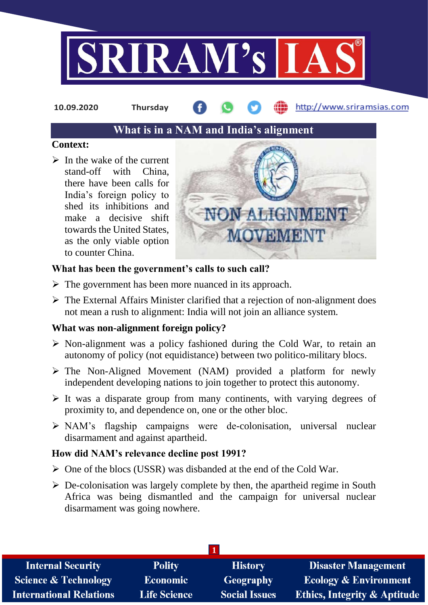

**10.09.2020 Thursday**

http://www.sriramsias.com

# **What is in a NAM and India's alignment**

## **Context:**

 $\triangleright$  In the wake of the current stand-off with China, there have been calls for India's foreign policy to shed its inhibitions and make a decisive shift towards the United States, as the only viable option to counter China.



## **What has been the government's calls to such call?**

- $\triangleright$  The government has been more nuanced in its approach.
- $\triangleright$  The External Affairs Minister clarified that a rejection of non-alignment does not mean a rush to alignment: India will not join an alliance system.

## **What was non-alignment foreign policy?**

- $\triangleright$  Non-alignment was a policy fashioned during the Cold War, to retain an autonomy of policy (not equidistance) between two politico-military blocs.
- $\triangleright$  The Non-Aligned Movement (NAM) provided a platform for newly independent developing nations to join together to protect this autonomy.
- $\triangleright$  It was a disparate group from many continents, with varying degrees of proximity to, and dependence on, one or the other bloc.
- NAM's flagship campaigns were de-colonisation, universal nuclear disarmament and against apartheid.

## **How did NAM's relevance decline post 1991?**

- $\triangleright$  One of the blocs (USSR) was disbanded at the end of the Cold War.
- $\triangleright$  De-colonisation was largely complete by then, the apartheid regime in South Africa was being dismantled and the campaign for universal nuclear disarmament was going nowhere.

| <b>Internal Security</b>        | <b>Polity</b>       | <b>History</b>       | <b>Disaster Management</b>              |
|---------------------------------|---------------------|----------------------|-----------------------------------------|
| <b>Science &amp; Technology</b> | <b>Economic</b>     | Geography            | <b>Ecology &amp; Environment</b>        |
| <b>International Relations</b>  | <b>Life Science</b> | <b>Social Issues</b> | <b>Ethics, Integrity &amp; Aptitude</b> |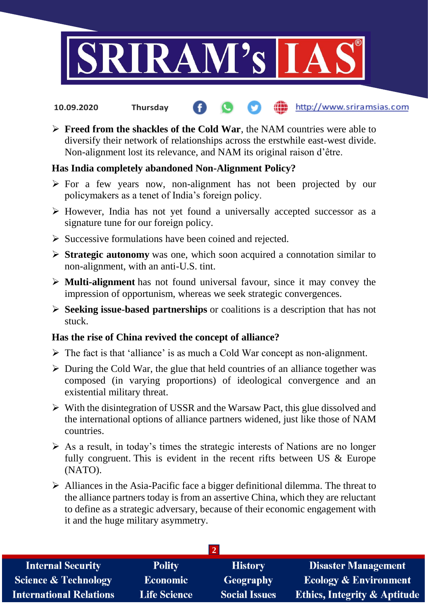

- http://www.sriramsias.com **10.09.2020 Thursday**
- **Freed from the shackles of the Cold War**, the NAM countries were able to diversify their network of relationships across the erstwhile east-west divide. Non-alignment lost its relevance, and NAM its original raison d'être.

## **Has India completely abandoned Non-Alignment Policy?**

- $\triangleright$  For a few years now, non-alignment has not been projected by our policymakers as a tenet of India's foreign policy.
- $\triangleright$  However, India has not yet found a universally accepted successor as a signature tune for our foreign policy.
- $\triangleright$  Successive formulations have been coined and rejected.
- **Strategic autonomy** was one, which soon acquired a connotation similar to non-alignment, with an anti-U.S. tint.
- **Multi-alignment** has not found universal favour, since it may convey the impression of opportunism, whereas we seek strategic convergences.
- **Seeking issue-based partnerships** or coalitions is a description that has not stuck.

#### **Has the rise of China revived the concept of alliance?**

- $\triangleright$  The fact is that 'alliance' is as much a Cold War concept as non-alignment.
- $\triangleright$  During the Cold War, the glue that held countries of an alliance together was composed (in varying proportions) of ideological convergence and an existential military threat.
- $\triangleright$  With the disintegration of USSR and the Warsaw Pact, this glue dissolved and the international options of alliance partners widened, just like those of NAM countries.
- $\triangleright$  As a result, in today's times the strategic interests of Nations are no longer fully congruent. This is evident in the recent rifts between US & Europe (NATO).
- $\triangleright$  Alliances in the Asia-Pacific face a bigger definitional dilemma. The threat to the alliance partners today is from an assertive China, which they are reluctant to define as a strategic adversary, because of their economic engagement with it and the huge military asymmetry.

| <b>Internal Security</b>        | <b>Polity</b>       | <b>History</b>       | <b>Disaster Management</b>       |  |  |  |
|---------------------------------|---------------------|----------------------|----------------------------------|--|--|--|
| <b>Science &amp; Technology</b> | Economic            | Geography            | <b>Ecology &amp; Environment</b> |  |  |  |
| <b>International Relations</b>  | <b>Life Science</b> | <b>Social Issues</b> | Ethics, Integrity & Aptitude     |  |  |  |
|                                 |                     |                      |                                  |  |  |  |